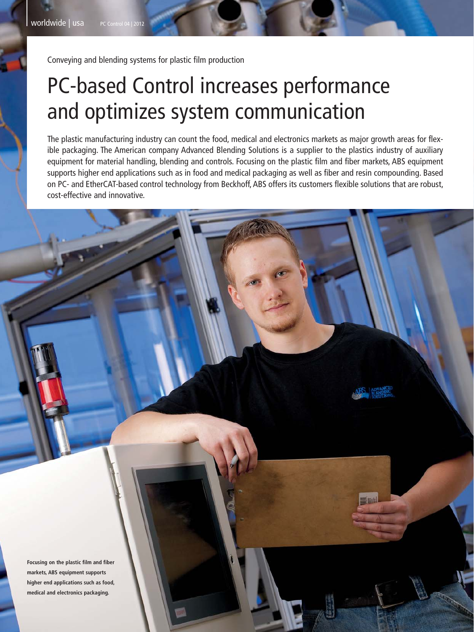Conveying and blending systems for plastic film production

## PC-based Control increases performance and optimizes system communication

The plastic manufacturing industry can count the food, medical and electronics markets as major growth areas for flexible packaging. The American company Advanced Blending Solutions is a supplier to the plastics industry of auxiliary equipment for material handling, blending and controls. Focusing on the plastic film and fiber markets, ABS equipment supports higher end applications such as in food and medical packaging as well as fiber and resin compounding. Based on PC- and EtherCAT-based control technology from Beckhoff, ABS offers its customers flexible solutions that are robust, cost-effective and innovative.

**Focusing on the plastic film and fiber markets, ABS equipment supports higher end applications such as food, medical and electronics packaging.**